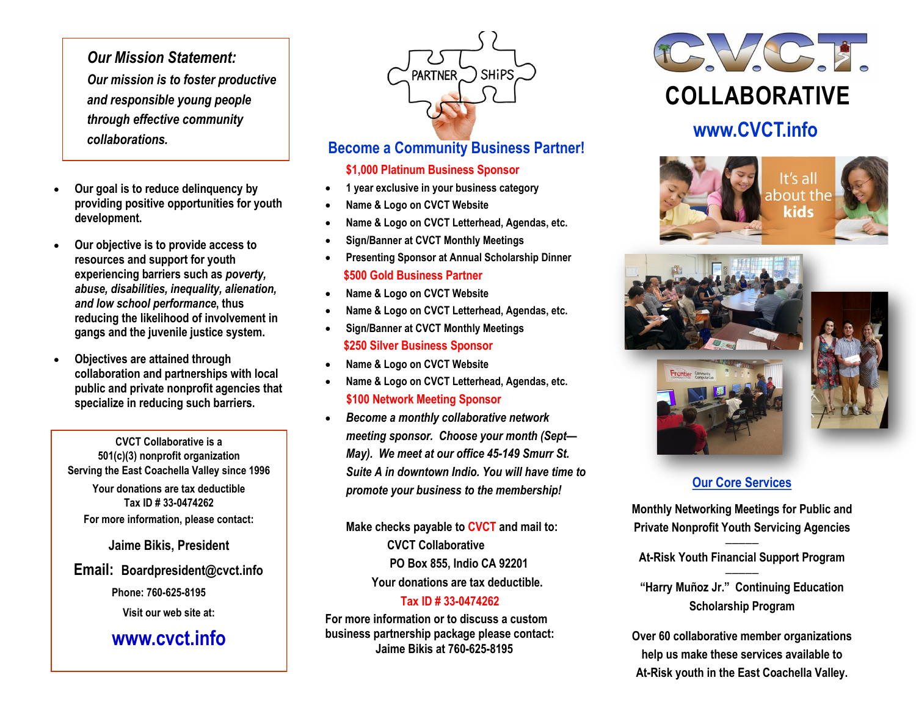*Our Mission Statement: Our mission is to foster productive and responsible young people through effective community collaborations.*

- **Our goal is to reduce delinquency by providing positive opportunities for youth development.**
- **Our objective is to provide access to resources and support for youth experiencing barriers such as** *poverty, abuse, disabilities, inequality, alienation, and low school performance***, thus reducing the likelihood of involvement in gangs and the juvenile justice system.**
- **Objectives are attained through collaboration and partnerships with local public and private nonprofit agencies that specialize in reducing such barriers.**

**CVCT Collaborative is a 501(c)(3) nonprofit organization Serving the East Coachella Valley since 1996**

**Your donations are tax deductible Tax ID # 33-0474262 For more information, please contact:** 

**Jaime Bikis, President**

#### **Email: Boardpresident@cvct.info**

 **Phone: 760-625-8195**

**Visit our web site at:**

## **www.cvct.info**



### **Become a Community Business Partner!**

#### **\$1,000 Platinum Business Sponsor**

- **1 year exclusive in your business category**
- **Name & Logo on CVCT Website**
- **Name & Logo on CVCT Letterhead, Agendas, etc.**
- **Sign/Banner at CVCT Monthly Meetings**
- **Presenting Sponsor at Annual Scholarship Dinner \$500 Gold Business Partner**
- **Name & Logo on CVCT Website**
- **Name & Logo on CVCT Letterhead, Agendas, etc.**
- **Sign/Banner at CVCT Monthly Meetings \$250 Silver Business Sponsor**
- **Name & Logo on CVCT Website**
- **Name & Logo on CVCT Letterhead, Agendas, etc. \$100 Network Meeting Sponsor**
- *Become a monthly collaborative network meeting sponsor. Choose your month (Sept— May). We meet at our office 45-149 Smurr St. Suite A in downtown Indio. You will have time to promote your business to the membership!*

**Make checks payable to CVCT and mail to: CVCT Collaborative PO Box 855, Indio CA 92201 Your donations are tax deductible.**

#### **Tax ID # 33-0474262**

**For more information or to discuss a custom business partnership package please contact: Jaime Bikis at 760-625-8195**



# **www.CVCT.info**







### **Our Core Services**

**Monthly Networking Meetings for Public and Private Nonprofit Youth Servicing Agencies**

**————— At-Risk Youth Financial Support Program —————**

**"Harry Muñoz Jr." Continuing Education Scholarship Program**

**Over 60 collaborative member organizations help us make these services available to At-Risk youth in the East Coachella Valley.**